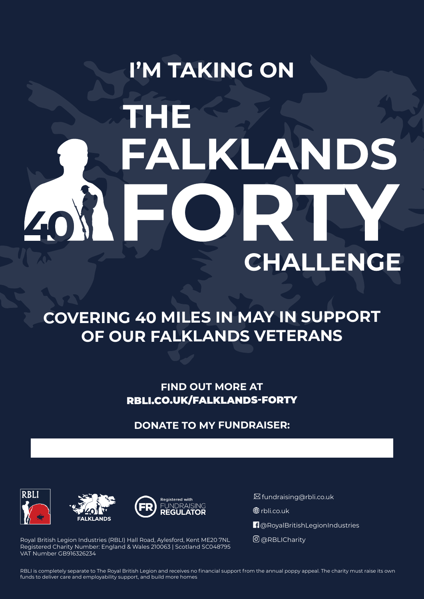# **I'M TAKING ON HE** ALKLANDS EC 40 **CHALLENGE**

### **COVERING 40 MILES IN MAY IN SUPPORT OF OUR FALKLANDS VETERANS**

**FIND OUT MORE AT** RBLI.CO.UK/FALKLANDS-FORTY

**DONATE TO MY FUNDRAISER:**







. fundraising@rbli.co.uk

**<sup>⊕</sup>**rbli.co.uk

**n** @RoyalBritishLegionIndustries

@RBLICharity

Royal British Legion Industries (RBLI) Hall Road, Aylesford, Kent ME20 7NL Registered Charity Number: England & Wales 210063 | Scotland SC048795 VAT Number GB916326234

RBLI is completely separate to The Royal British Legion and receives no financial support from the annual poppy appeal. The charity must raise its own funds to deliver care and employability support, and build more homes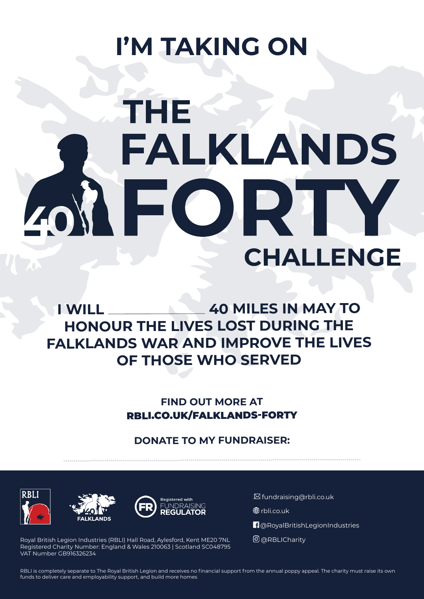## **I'M TAKING ON**

# **THE FALKLANDS** EOR **CHALLENGE**

**I WILL 40 MILES IN MAY TO HONOUR THE LIVES LOST DURING THE FALKLANDS WAR AND IMPROVE THE LIVES OF THOSE WHO SERVED**

> **FIND OUT MORE AT** RBLI.CO.UK/FALKLANDS-FORTY

#### **DONATE TO MY FUNDRAISER:**

**.................................................................................................................................................**







. fundraising@rbli.co.uk

**<sup>⊕</sup>**rbli.co.uk

 $\P$ @RoyalBritishLegionIndustries

@RBLICharity

Royal British Legion Industries (RBLI) Hall Road, Aylesford, Kent ME20 7NL Registered Charity Number: England & Wales 210063 | Scotland SC048795 VAT Number GB916326234

RBLI is completely separate to The Royal British Legion and receives no financial support from the annual poppy appeal. The charity must raise its own funds to deliver care and employability support, and build more homes